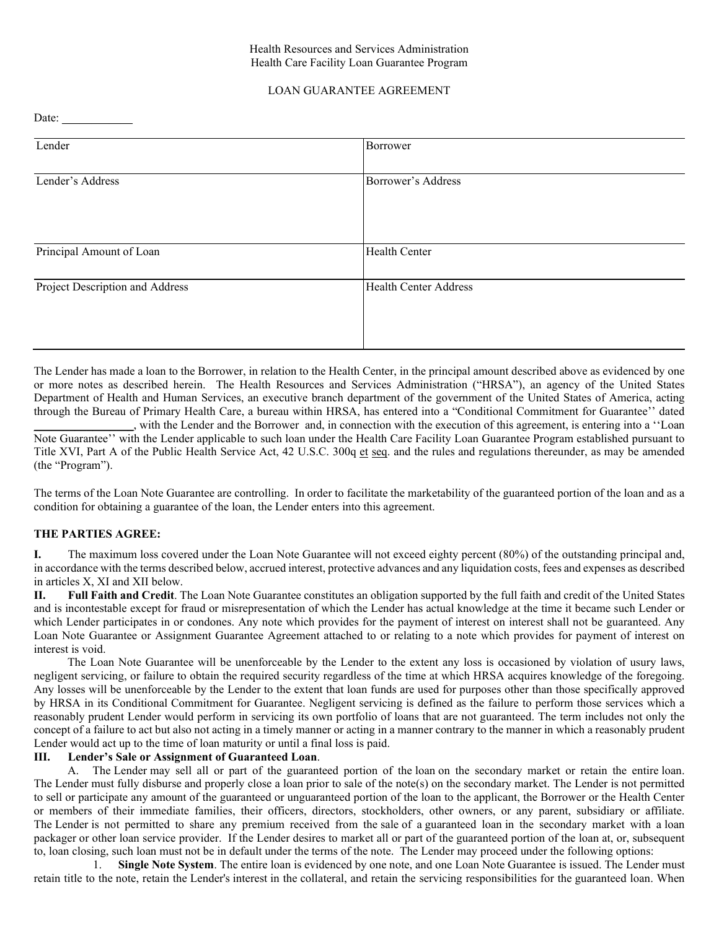#### Health Resources and Services Administration Health Care Facility Loan Guarantee Program

## LOAN GUARANTEE AGREEMENT

Date:

| Lender                          | Borrower                     |
|---------------------------------|------------------------------|
|                                 |                              |
| Lender's Address                | Borrower's Address           |
|                                 |                              |
|                                 |                              |
|                                 |                              |
| Principal Amount of Loan        | <b>Health Center</b>         |
|                                 |                              |
| Project Description and Address | <b>Health Center Address</b> |
|                                 |                              |
|                                 |                              |
|                                 |                              |

The Lender has made a loan to the Borrower, in relation to the Health Center, in the principal amount described above as evidenced by one or more notes as described herein. The Health Resources and Services Administration ("HRSA"), an agency of the United States Department of Health and Human Services, an executive branch department of the government of the United States of America, acting through the Bureau of Primary Health Care, a bureau within HRSA, has entered into a "Conditional Commitment for Guarantee'' dated \_\_\_\_\_\_\_\_\_\_\_\_\_\_\_\_\_, with the Lender and the Borrower and, in connection with the execution of this agreement, is entering into a ''Loan

Note Guarantee'' with the Lender applicable to such loan under the Health Care Facility Loan Guarantee Program established pursuant to Title XVI, Part A of the Public Health Service Act, 42 U.S.C. 300q et seq. and the rules and regulations thereunder, as may be amended (the "Program").

The terms of the Loan Note Guarantee are controlling. In order to facilitate the marketability of the guaranteed portion of the loan and as a condition for obtaining a guarantee of the loan, the Lender enters into this agreement.

#### **THE PARTIES AGREE:**

**I.** The maximum loss covered under the Loan Note Guarantee will not exceed eighty percent (80%) of the outstanding principal and, in accordance with the terms described below, accrued interest, protective advances and any liquidation costs, fees and expenses as described in articles X, XI and XII below.

**II. Full Faith and Credit**. The Loan Note Guarantee constitutes an obligation supported by the full faith and credit of the United States and is incontestable except for fraud or misrepresentation of which the Lender has actual knowledge at the time it became such Lender or which Lender participates in or condones. Any note which provides for the payment of interest on interest shall not be guaranteed. Any Loan Note Guarantee or Assignment Guarantee Agreement attached to or relating to a note which provides for payment of interest on interest is void.

The Loan Note Guarantee will be unenforceable by the Lender to the extent any loss is occasioned by violation of usury laws, negligent servicing, or failure to obtain the required security regardless of the time at which HRSA acquires knowledge of the foregoing. Any losses will be unenforceable by the Lender to the extent that loan funds are used for purposes other than those specifically approved by HRSA in its Conditional Commitment for Guarantee. Negligent servicing is defined as the failure to perform those services which a reasonably prudent Lender would perform in servicing its own portfolio of loans that are not guaranteed. The term includes not only the concept of a failure to act but also not acting in a timely manner or acting in a manner contrary to the manner in which a reasonably prudent Lender would act up to the time of loan maturity or until a final loss is paid.

# **III. Lender's Sale or Assignment of Guaranteed Loan**.

A. The Lender may sell all or part of the guaranteed portion of the loan on the secondary market or retain the entire loan. The Lender must fully disburse and properly close a loan prior to sale of the note(s) on the secondary market. The Lender is not permitted to sell or participate any amount of the guaranteed or unguaranteed portion of the loan to the applicant, the Borrower or the Health Center or members of their immediate families, their officers, directors, stockholders, other owners, or any parent, subsidiary or affiliate. The Lender is not permitted to share any premium received from the sale of a guaranteed loan in the secondary market with a loan packager or other loan service provider. If the Lender desires to market all or part of the guaranteed portion of the loan at, or, subsequent to, loan closing, such loan must not be in default under the terms of the note. The Lender may proceed under the following options:

1. **Single Note System**. The entire loan is evidenced by one note, and one Loan Note Guarantee is issued. The Lender must retain title to the note, retain the Lender's interest in the collateral, and retain the servicing responsibilities for the guaranteed loan. When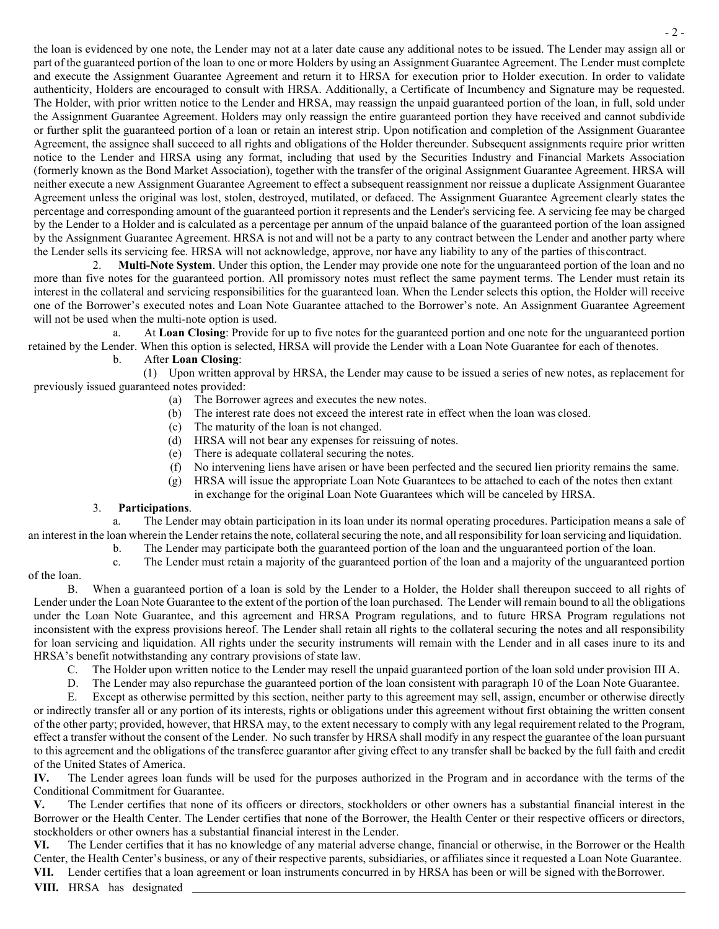the loan is evidenced by one note, the Lender may not at a later date cause any additional notes to be issued. The Lender may assign all or part of the guaranteed portion of the loan to one or more Holders by using an Assignment Guarantee Agreement. The Lender must complete and execute the Assignment Guarantee Agreement and return it to HRSA for execution prior to Holder execution. In order to validate authenticity, Holders are encouraged to consult with HRSA. Additionally, a Certificate of Incumbency and Signature may be requested. The Holder, with prior written notice to the Lender and HRSA, may reassign the unpaid guaranteed portion of the loan, in full, sold under the Assignment Guarantee Agreement. Holders may only reassign the entire guaranteed portion they have received and cannot subdivide or further split the guaranteed portion of a loan or retain an interest strip. Upon notification and completion of the Assignment Guarantee Agreement, the assignee shall succeed to all rights and obligations of the Holder thereunder. Subsequent assignments require prior written notice to the Lender and HRSA using any format, including that used by the Securities Industry and Financial Markets Association (formerly known as the Bond Market Association), together with the transfer of the original Assignment Guarantee Agreement. HRSA will neither execute a new Assignment Guarantee Agreement to effect a subsequent reassignment nor reissue a duplicate Assignment Guarantee Agreement unless the original was lost, stolen, destroyed, mutilated, or defaced. The Assignment Guarantee Agreement clearly states the percentage and corresponding amount of the guaranteed portion it represents and the Lender's servicing fee. A servicing fee may be charged by the Lender to a Holder and is calculated as a percentage per annum of the unpaid balance of the guaranteed portion of the loan assigned by the Assignment Guarantee Agreement. HRSA is not and will not be a party to any contract between the Lender and another party where the Lender sells its servicing fee. HRSA will not acknowledge, approve, nor have any liability to any of the parties of thiscontract.

2. **Multi-Note System**. Under this option, the Lender may provide one note for the unguaranteed portion of the loan and no more than five notes for the guaranteed portion. All promissory notes must reflect the same payment terms. The Lender must retain its interest in the collateral and servicing responsibilities for the guaranteed loan. When the Lender selects this option, the Holder will receive one of the Borrower's executed notes and Loan Note Guarantee attached to the Borrower's note. An Assignment Guarantee Agreement will not be used when the multi-note option is used.

a. At **Loan Closing**: Provide for up to five notes for the guaranteed portion and one note for the unguaranteed portion retained by the Lender. When this option is selected, HRSA will provide the Lender with a Loan Note Guarantee for each of thenotes.

# b. After **Loan Closing**:

(1) Upon written approval by HRSA, the Lender may cause to be issued a series of new notes, as replacement for previously issued guaranteed notes provided:

- (a) The Borrower agrees and executes the new notes.
- (b) The interest rate does not exceed the interest rate in effect when the loan was closed.
- (c) The maturity of the loan is not changed.
- (d) HRSA will not bear any expenses for reissuing of notes.
- (e) There is adequate collateral securing the notes.
- (f) No intervening liens have arisen or have been perfected and the secured lien priority remains the same.
- (g) HRSA will issue the appropriate Loan Note Guarantees to be attached to each of the notes then extant in exchange for the original Loan Note Guarantees which will be canceled by HRSA.

## 3. **Participations**.

a. The Lender may obtain participation in its loan under its normal operating procedures. Participation means a sale of an interest in the loan wherein the Lender retainsthe note, collateralsecuring the note, and all responsibility for loan servicing and liquidation.

b. The Lender may participate both the guaranteed portion of the loan and the unguaranteed portion of the loan.

c. The Lender must retain a majority of the guaranteed portion of the loan and a majority of the unguaranteed portion

# of the loan.

B. When a guaranteed portion of a loan is sold by the Lender to a Holder, the Holder shall thereupon succeed to all rights of Lender under the Loan Note Guarantee to the extent of the portion of the loan purchased. The Lender will remain bound to all the obligations under the Loan Note Guarantee, and this agreement and HRSA Program regulations, and to future HRSA Program regulations not inconsistent with the express provisions hereof. The Lender shall retain all rights to the collateral securing the notes and all responsibility for loan servicing and liquidation. All rights under the security instruments will remain with the Lender and in all cases inure to its and HRSA's benefit notwithstanding any contrary provisions of state law.

- C. The Holder upon written notice to the Lender may resell the unpaid guaranteed portion of the loan sold under provision III A.
- D. The Lender may also repurchase the guaranteed portion of the loan consistent with paragraph 10 of the Loan Note Guarantee.

E. Except as otherwise permitted by this section, neither party to this agreement may sell, assign, encumber or otherwise directly or indirectly transfer all or any portion of its interests, rights or obligations under this agreement without first obtaining the written consent of the other party; provided, however, that HRSA may, to the extent necessary to comply with any legal requirement related to the Program, effect a transfer without the consent of the Lender. No such transfer by HRSA shall modify in any respect the guarantee of the loan pursuant to this agreement and the obligations of the transferee guarantor after giving effect to any transfer shall be backed by the full faith and credit of the United States of America.

**IV.** The Lender agrees loan funds will be used for the purposes authorized in the Program and in accordance with the terms of the Conditional Commitment for Guarantee.

**V.** The Lender certifies that none of its officers or directors, stockholders or other owners has a substantial financial interest in the Borrower or the Health Center. The Lender certifies that none of the Borrower, the Health Center or their respective officers or directors, stockholders or other owners has a substantial financial interest in the Lender.

**VI.** The Lender certifies that it has no knowledge of any material adverse change, financial or otherwise, in the Borrower or the Health Center, the Health Center's business, or any of their respective parents, subsidiaries, or affiliates since it requested a Loan Note Guarantee. **VII.** Lender certifies that a loan agreement or loan instruments concurred in by HRSA has been or will be signed with theBorrower.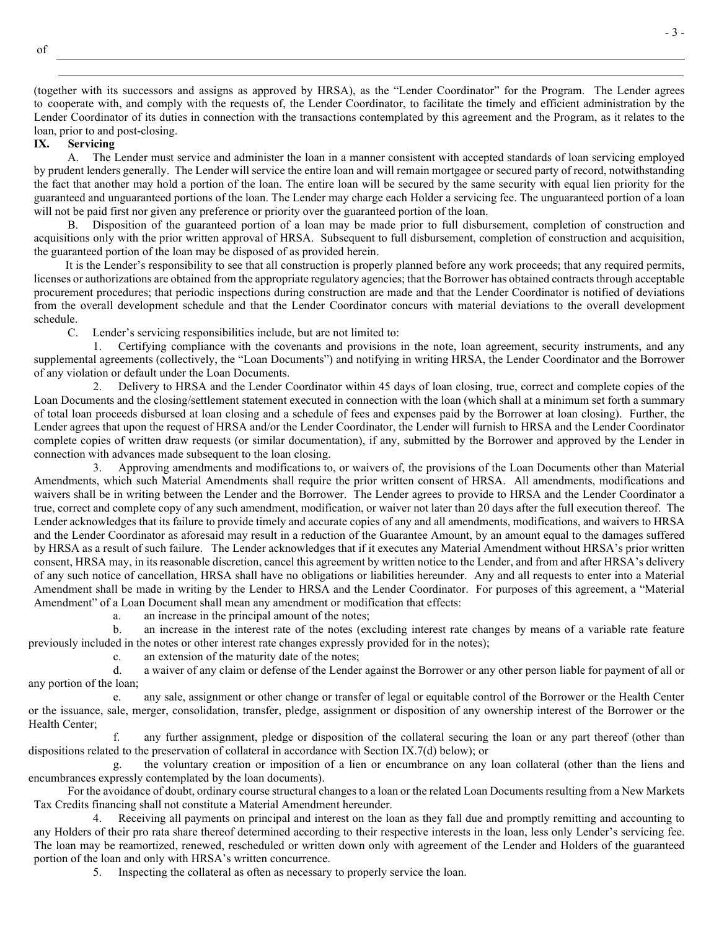(together with its successors and assigns as approved by HRSA), as the "Lender Coordinator" for the Program. The Lender agrees to cooperate with, and comply with the requests of, the Lender Coordinator, to facilitate the timely and efficient administration by the Lender Coordinator of its duties in connection with the transactions contemplated by this agreement and the Program, as it relates to the loan, prior to and post-closing.<br>IX. Servicing

**IX. Servicing** 

A. The Lender must service and administer the loan in a manner consistent with accepted standards of loan servicing employed by prudent lenders generally. The Lender will service the entire loan and will remain mortgagee or secured party of record, notwithstanding the fact that another may hold a portion of the loan. The entire loan will be secured by the same security with equal lien priority for the guaranteed and unguaranteed portions of the loan. The Lender may charge each Holder a servicing fee. The unguaranteed portion of a loan will not be paid first nor given any preference or priority over the guaranteed portion of the loan.

B. Disposition of the guaranteed portion of a loan may be made prior to full disbursement, completion of construction and acquisitions only with the prior written approval of HRSA. Subsequent to full disbursement, completion of construction and acquisition, the guaranteed portion of the loan may be disposed of as provided herein.

It is the Lender's responsibility to see that all construction is properly planned before any work proceeds; that any required permits, licenses or authorizations are obtained from the appropriate regulatory agencies; that the Borrower has obtained contracts through acceptable procurement procedures; that periodic inspections during construction are made and that the Lender Coordinator is notified of deviations from the overall development schedule and that the Lender Coordinator concurs with material deviations to the overall development schedule.

C. Lender's servicing responsibilities include, but are not limited to:

1. Certifying compliance with the covenants and provisions in the note, loan agreement, security instruments, and any supplemental agreements (collectively, the "Loan Documents") and notifying in writing HRSA, the Lender Coordinator and the Borrower of any violation or default under the Loan Documents.

2. Delivery to HRSA and the Lender Coordinator within 45 days of loan closing, true, correct and complete copies of the Loan Documents and the closing/settlement statement executed in connection with the loan (which shall at a minimum set forth a summary of total loan proceeds disbursed at loan closing and a schedule of fees and expenses paid by the Borrower at loan closing). Further, the Lender agrees that upon the request of HRSA and/or the Lender Coordinator, the Lender will furnish to HRSA and the Lender Coordinator complete copies of written draw requests (or similar documentation), if any, submitted by the Borrower and approved by the Lender in connection with advances made subsequent to the loan closing.

3. Approving amendments and modifications to, or waivers of, the provisions of the Loan Documents other than Material Amendments, which such Material Amendments shall require the prior written consent of HRSA. All amendments, modifications and waivers shall be in writing between the Lender and the Borrower. The Lender agrees to provide to HRSA and the Lender Coordinator a true, correct and complete copy of any such amendment, modification, or waiver not later than 20 days after the full execution thereof. The Lender acknowledges that its failure to provide timely and accurate copies of any and all amendments, modifications, and waivers to HRSA and the Lender Coordinator as aforesaid may result in a reduction of the Guarantee Amount, by an amount equal to the damages suffered by HRSA as a result of such failure. The Lender acknowledges that if it executes any Material Amendment without HRSA's prior written consent, HRSA may, in its reasonable discretion, cancel this agreement by written notice to the Lender, and from and after HRSA's delivery of any such notice of cancellation, HRSA shall have no obligations or liabilities hereunder. Any and all requests to enter into a Material Amendment shall be made in writing by the Lender to HRSA and the Lender Coordinator. For purposes of this agreement, a "Material Amendment" of a Loan Document shall mean any amendment or modification that effects:

a. an increase in the principal amount of the notes;

b. an increase in the interest rate of the notes (excluding interest rate changes by means of a variable rate feature previously included in the notes or other interest rate changes expressly provided for in the notes);

c. an extension of the maturity date of the notes;

d. a waiver of any claim or defense of the Lender against the Borrower or any other person liable for payment of all or any portion of the loan;

e. any sale, assignment or other change or transfer of legal or equitable control of the Borrower or the Health Center or the issuance, sale, merger, consolidation, transfer, pledge, assignment or disposition of any ownership interest of the Borrower or the Health Center;

any further assignment, pledge or disposition of the collateral securing the loan or any part thereof (other than dispositions related to the preservation of collateral in accordance with Section IX.7(d) below); or

g. the voluntary creation or imposition of a lien or encumbrance on any loan collateral (other than the liens and encumbrances expressly contemplated by the loan documents).

For the avoidance of doubt, ordinary course structural changes to a loan or the related Loan Documents resulting from a New Markets Tax Credits financing shall not constitute a Material Amendment hereunder.

4. Receiving all payments on principal and interest on the loan as they fall due and promptly remitting and accounting to any Holders of their pro rata share thereof determined according to their respective interests in the loan, less only Lender's servicing fee. The loan may be reamortized, renewed, rescheduled or written down only with agreement of the Lender and Holders of the guaranteed portion of the loan and only with HRSA's written concurrence.

5. Inspecting the collateral as often as necessary to properly service the loan.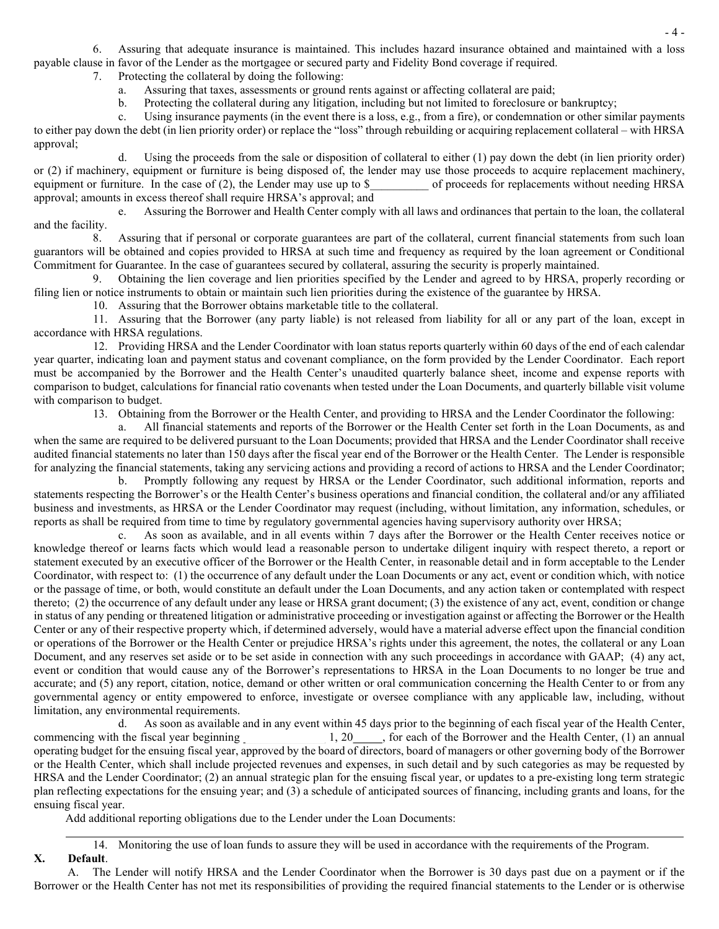6. Assuring that adequate insurance is maintained. This includes hazard insurance obtained and maintained with a loss payable clause in favor of the Lender as the mortgagee or secured party and Fidelity Bond coverage if required.

7. Protecting the collateral by doing the following:

- a. Assuring that taxes, assessments or ground rents against or affecting collateral are paid;
- b. Protecting the collateral during any litigation, including but not limited to foreclosure or bankruptcy;

c. Using insurance payments (in the event there is a loss, e.g., from a fire), or condemnation or other similar payments to either pay down the debt (in lien priority order) or replace the "loss" through rebuilding or acquiring replacement collateral – with HRSA approval;

d. Using the proceeds from the sale or disposition of collateral to either (1) pay down the debt (in lien priority order) or (2) if machinery, equipment or furniture is being disposed of, the lender may use those proceeds to acquire replacement machinery, equipment or furniture. In the case of (2), the Lender may use up to \$ of proceeds for r equipment or furniture. In the case of (2), the Lender may use up to  $\$ approval; amounts in excess thereof shall require HRSA's approval; and

e. Assuring the Borrower and Health Center comply with all laws and ordinances that pertain to the loan, the collateral and the facility.

8. Assuring that if personal or corporate guarantees are part of the collateral, current financial statements from such loan guarantors will be obtained and copies provided to HRSA at such time and frequency as required by the loan agreement or Conditional Commitment for Guarantee. In the case of guarantees secured by collateral, assuring the security is properly maintained.

9. Obtaining the lien coverage and lien priorities specified by the Lender and agreed to by HRSA, properly recording or filing lien or notice instruments to obtain or maintain such lien priorities during the existence of the guarantee by HRSA.

10. Assuring that the Borrower obtains marketable title to the collateral.

11. Assuring that the Borrower (any party liable) is not released from liability for all or any part of the loan, except in accordance with HRSA regulations.

12. Providing HRSA and the Lender Coordinator with loan status reports quarterly within 60 days of the end of each calendar year quarter, indicating loan and payment status and covenant compliance, on the form provided by the Lender Coordinator. Each report must be accompanied by the Borrower and the Health Center's unaudited quarterly balance sheet, income and expense reports with comparison to budget, calculations for financial ratio covenants when tested under the Loan Documents, and quarterly billable visit volume with comparison to budget.

13. Obtaining from the Borrower or the Health Center, and providing to HRSA and the Lender Coordinator the following:

a. All financial statements and reports of the Borrower or the Health Center set forth in the Loan Documents, as and when the same are required to be delivered pursuant to the Loan Documents; provided that HRSA and the Lender Coordinator shall receive audited financial statements no later than 150 days after the fiscal year end of the Borrower or the Health Center. The Lender is responsible for analyzing the financial statements, taking any servicing actions and providing a record of actions to HRSA and the Lender Coordinator;

b. Promptly following any request by HRSA or the Lender Coordinator, such additional information, reports and statements respecting the Borrower's or the Health Center's business operations and financial condition, the collateral and/or any affiliated business and investments, as HRSA or the Lender Coordinator may request (including, without limitation, any information, schedules, or reports as shall be required from time to time by regulatory governmental agencies having supervisory authority over HRSA;

c. As soon as available, and in all events within 7 days after the Borrower or the Health Center receives notice or knowledge thereof or learns facts which would lead a reasonable person to undertake diligent inquiry with respect thereto, a report or statement executed by an executive officer of the Borrower or the Health Center, in reasonable detail and in form acceptable to the Lender Coordinator, with respect to: (1) the occurrence of any default under the Loan Documents or any act, event or condition which, with notice or the passage of time, or both, would constitute an default under the Loan Documents, and any action taken or contemplated with respect thereto; (2) the occurrence of any default under any lease or HRSA grant document; (3) the existence of any act, event, condition or change in status of any pending or threatened litigation or administrative proceeding or investigation against or affecting the Borrower or the Health Center or any of their respective property which, if determined adversely, would have a material adverse effect upon the financial condition or operations of the Borrower or the Health Center or prejudice HRSA's rights under this agreement, the notes, the collateral or any Loan Document, and any reserves set aside or to be set aside in connection with any such proceedings in accordance with GAAP; (4) any act, event or condition that would cause any of the Borrower's representations to HRSA in the Loan Documents to no longer be true and accurate; and (5) any report, citation, notice, demand or other written or oral communication concerning the Health Center to or from any governmental agency or entity empowered to enforce, investigate or oversee compliance with any applicable law, including, without limitation, any environmental requirements.

d. As soon as available and in any event within 45 days prior to the beginning of each fiscal year of the Health Center, commencing with the fiscal year beginning 1, 20, for each of the Borrower and the Health Center, (1) , for each of the Borrower and the Health Center, (1) an annual operating budget for the ensuing fiscal year, approved by the board of directors, board of managers or other governing body of the Borrower or the Health Center, which shall include projected revenues and expenses, in such detail and by such categories as may be requested by HRSA and the Lender Coordinator; (2) an annual strategic plan for the ensuing fiscal year, or updates to a pre-existing long term strategic plan reflecting expectations for the ensuing year; and (3) a schedule of anticipated sources of financing, including grants and loans, for the ensuing fiscal year.

Add additional reporting obligations due to the Lender under the Loan Documents:

14. Monitoring the use of loan funds to assure they will be used in accordance with the requirements of the Program. **X. Default**.

A. The Lender will notify HRSA and the Lender Coordinator when the Borrower is 30 days past due on a payment or if the Borrower or the Health Center has not met its responsibilities of providing the required financial statements to the Lender or is otherwise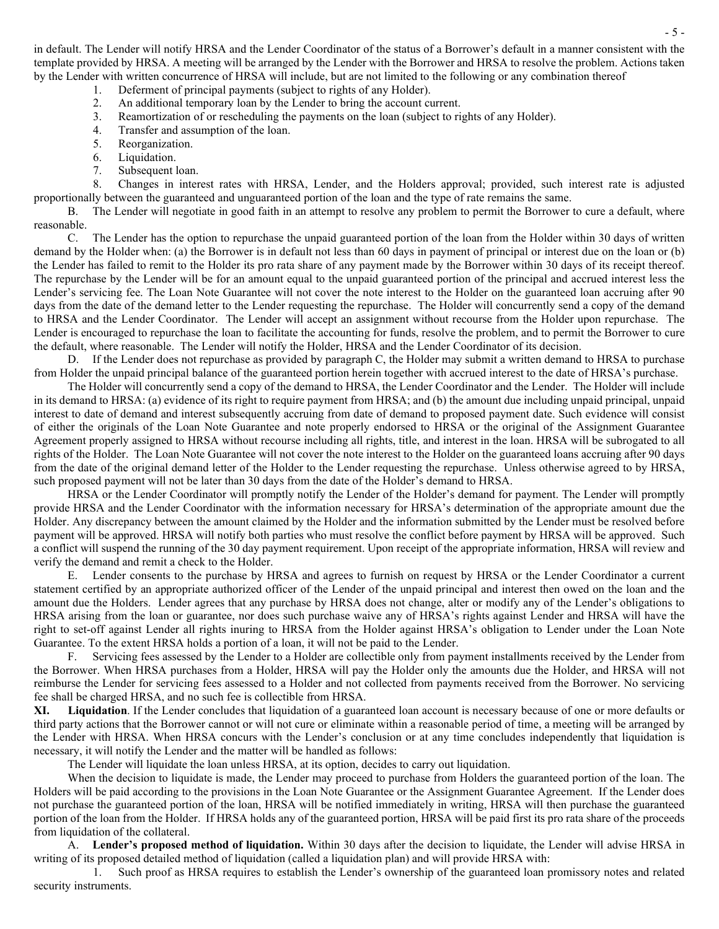in default. The Lender will notify HRSA and the Lender Coordinator of the status of a Borrower's default in a manner consistent with the template provided by HRSA. A meeting will be arranged by the Lender with the Borrower and HRSA to resolve the problem. Actions taken by the Lender with written concurrence of HRSA will include, but are not limited to the following or any combination thereof

- 1. Deferment of principal payments (subject to rights of any Holder).
- 2. An additional temporary loan by the Lender to bring the account current.
- 3. Reamortization of or rescheduling the payments on the loan (subject to rights of any Holder).
- 4. Transfer and assumption of the loan.<br>5. Reorganization.
- Reorganization.
- 6. Liquidation.
- 7. Subsequent loan.

8. Changes in interest rates with HRSA, Lender, and the Holders approval; provided, such interest rate is adjusted proportionally between the guaranteed and unguaranteed portion of the loan and the type of rate remains the same.

B. The Lender will negotiate in good faith in an attempt to resolve any problem to permit the Borrower to cure a default, where reasonable.

C. The Lender has the option to repurchase the unpaid guaranteed portion of the loan from the Holder within 30 days of written demand by the Holder when: (a) the Borrower is in default not less than 60 days in payment of principal or interest due on the loan or (b) the Lender has failed to remit to the Holder its pro rata share of any payment made by the Borrower within 30 days of its receipt thereof. The repurchase by the Lender will be for an amount equal to the unpaid guaranteed portion of the principal and accrued interest less the Lender's servicing fee. The Loan Note Guarantee will not cover the note interest to the Holder on the guaranteed loan accruing after 90 days from the date of the demand letter to the Lender requesting the repurchase. The Holder will concurrently send a copy of the demand to HRSA and the Lender Coordinator. The Lender will accept an assignment without recourse from the Holder upon repurchase. The Lender is encouraged to repurchase the loan to facilitate the accounting for funds, resolve the problem, and to permit the Borrower to cure the default, where reasonable. The Lender will notify the Holder, HRSA and the Lender Coordinator of its decision.

D. If the Lender does not repurchase as provided by paragraph C, the Holder may submit a written demand to HRSA to purchase from Holder the unpaid principal balance of the guaranteed portion herein together with accrued interest to the date of HRSA's purchase.

The Holder will concurrently send a copy of the demand to HRSA, the Lender Coordinator and the Lender. The Holder will include in its demand to HRSA: (a) evidence of its right to require payment from HRSA; and (b) the amount due including unpaid principal, unpaid interest to date of demand and interest subsequently accruing from date of demand to proposed payment date. Such evidence will consist of either the originals of the Loan Note Guarantee and note properly endorsed to HRSA or the original of the Assignment Guarantee Agreement properly assigned to HRSA without recourse including all rights, title, and interest in the loan. HRSA will be subrogated to all rights of the Holder. The Loan Note Guarantee will not cover the note interest to the Holder on the guaranteed loans accruing after 90 days from the date of the original demand letter of the Holder to the Lender requesting the repurchase. Unless otherwise agreed to by HRSA, such proposed payment will not be later than 30 days from the date of the Holder's demand to HRSA.

HRSA or the Lender Coordinator will promptly notify the Lender of the Holder's demand for payment. The Lender will promptly provide HRSA and the Lender Coordinator with the information necessary for HRSA's determination of the appropriate amount due the Holder. Any discrepancy between the amount claimed by the Holder and the information submitted by the Lender must be resolved before payment will be approved. HRSA will notify both parties who must resolve the conflict before payment by HRSA will be approved. Such a conflict will suspend the running of the 30 day payment requirement. Upon receipt of the appropriate information, HRSA will review and verify the demand and remit a check to the Holder.

E. Lender consents to the purchase by HRSA and agrees to furnish on request by HRSA or the Lender Coordinator a current statement certified by an appropriate authorized officer of the Lender of the unpaid principal and interest then owed on the loan and the amount due the Holders. Lender agrees that any purchase by HRSA does not change, alter or modify any of the Lender's obligations to HRSA arising from the loan or guarantee, nor does such purchase waive any of HRSA's rights against Lender and HRSA will have the right to set-off against Lender all rights inuring to HRSA from the Holder against HRSA's obligation to Lender under the Loan Note Guarantee. To the extent HRSA holds a portion of a loan, it will not be paid to the Lender.

F. Servicing fees assessed by the Lender to a Holder are collectible only from payment installments received by the Lender from the Borrower. When HRSA purchases from a Holder, HRSA will pay the Holder only the amounts due the Holder, and HRSA will not reimburse the Lender for servicing fees assessed to a Holder and not collected from payments received from the Borrower. No servicing fee shall be charged HRSA, and no such fee is collectible from HRSA.

**XI. Liquidation**. If the Lender concludes that liquidation of a guaranteed loan account is necessary because of one or more defaults or third party actions that the Borrower cannot or will not cure or eliminate within a reasonable period of time, a meeting will be arranged by the Lender with HRSA. When HRSA concurs with the Lender's conclusion or at any time concludes independently that liquidation is necessary, it will notify the Lender and the matter will be handled as follows:

The Lender will liquidate the loan unless HRSA, at its option, decides to carry out liquidation.

When the decision to liquidate is made, the Lender may proceed to purchase from Holders the guaranteed portion of the loan. The Holders will be paid according to the provisions in the Loan Note Guarantee or the Assignment Guarantee Agreement. If the Lender does not purchase the guaranteed portion of the loan, HRSA will be notified immediately in writing, HRSA will then purchase the guaranteed portion of the loan from the Holder. If HRSA holds any of the guaranteed portion, HRSA will be paid first its pro rata share of the proceeds from liquidation of the collateral.

A. **Lender's proposed method of liquidation.** Within 30 days after the decision to liquidate, the Lender will advise HRSA in writing of its proposed detailed method of liquidation (called a liquidation plan) and will provide HRSA with:

1. Such proof as HRSA requires to establish the Lender's ownership of the guaranteed loan promissory notes and related security instruments.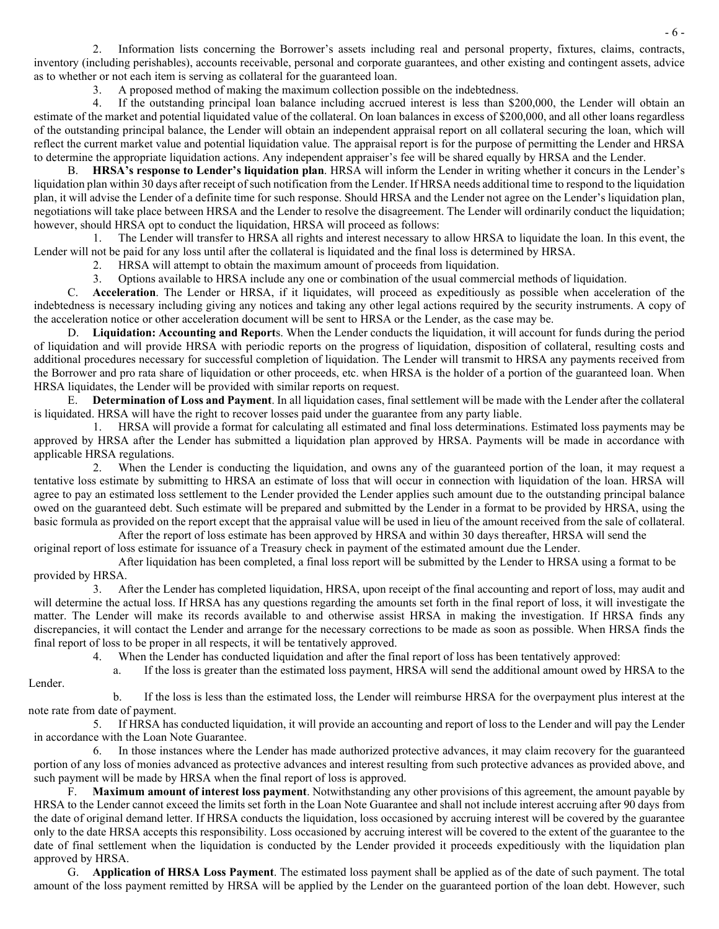Information lists concerning the Borrower's assets including real and personal property, fixtures, claims, contracts, inventory (including perishables), accounts receivable, personal and corporate guarantees, and other existing and contingent assets, advice as to whether or not each item is serving as collateral for the guaranteed loan.

3. A proposed method of making the maximum collection possible on the indebtedness.

4. If the outstanding principal loan balance including accrued interest is less than \$200,000, the Lender will obtain an estimate of the market and potential liquidated value of the collateral. On loan balances in excess of \$200,000, and all other loans regardless of the outstanding principal balance, the Lender will obtain an independent appraisal report on all collateral securing the loan, which will reflect the current market value and potential liquidation value. The appraisal report is for the purpose of permitting the Lender and HRSA to determine the appropriate liquidation actions. Any independent appraiser's fee will be shared equally by HRSA and the Lender.

B. **HRSA's response to Lender's liquidation plan**. HRSA will inform the Lender in writing whether it concurs in the Lender's liquidation plan within 30 days after receipt of such notification from the Lender. If HRSA needs additional time to respond to the liquidation plan, it will advise the Lender of a definite time for such response. Should HRSA and the Lender not agree on the Lender's liquidation plan, negotiations will take place between HRSA and the Lender to resolve the disagreement. The Lender will ordinarily conduct the liquidation; however, should HRSA opt to conduct the liquidation, HRSA will proceed as follows:

1. The Lender will transfer to HRSA all rights and interest necessary to allow HRSA to liquidate the loan. In this event, the Lender will not be paid for any loss until after the collateral is liquidated and the final loss is determined by HRSA.

2. HRSA will attempt to obtain the maximum amount of proceeds from liquidation.

3. Options available to HRSA include any one or combination of the usual commercial methods of liquidation.

C. **Acceleration**. The Lender or HRSA, if it liquidates, will proceed as expeditiously as possible when acceleration of the indebtedness is necessary including giving any notices and taking any other legal actions required by the security instruments. A copy of the acceleration notice or other acceleration document will be sent to HRSA or the Lender, as the case may be.

D. **Liquidation: Accounting and Report**s. When the Lender conducts the liquidation, it will account for funds during the period of liquidation and will provide HRSA with periodic reports on the progress of liquidation, disposition of collateral, resulting costs and additional procedures necessary for successful completion of liquidation. The Lender will transmit to HRSA any payments received from the Borrower and pro rata share of liquidation or other proceeds, etc. when HRSA is the holder of a portion of the guaranteed loan. When HRSA liquidates, the Lender will be provided with similar reports on request.

E. **Determination of Loss and Payment**. In all liquidation cases, final settlement will be made with the Lender after the collateral is liquidated. HRSA will have the right to recover losses paid under the guarantee from any party liable.

1. HRSA will provide a format for calculating all estimated and final loss determinations. Estimated loss payments may be approved by HRSA after the Lender has submitted a liquidation plan approved by HRSA. Payments will be made in accordance with applicable HRSA regulations.

2. When the Lender is conducting the liquidation, and owns any of the guaranteed portion of the loan, it may request a tentative loss estimate by submitting to HRSA an estimate of loss that will occur in connection with liquidation of the loan. HRSA will agree to pay an estimated loss settlement to the Lender provided the Lender applies such amount due to the outstanding principal balance owed on the guaranteed debt. Such estimate will be prepared and submitted by the Lender in a format to be provided by HRSA, using the basic formula as provided on the report except that the appraisal value will be used in lieu of the amount received from the sale of collateral.

After the report of loss estimate has been approved by HRSA and within 30 days thereafter, HRSA will send the

original report of loss estimate for issuance of a Treasury check in payment of the estimated amount due the Lender.

Lender.

 After liquidation has been completed, a final loss report will be submitted by the Lender to HRSA using a format to be provided by HRSA.

3. After the Lender has completed liquidation, HRSA, upon receipt of the final accounting and report of loss, may audit and will determine the actual loss. If HRSA has any questions regarding the amounts set forth in the final report of loss, it will investigate the matter. The Lender will make its records available to and otherwise assist HRSA in making the investigation. If HRSA finds any discrepancies, it will contact the Lender and arrange for the necessary corrections to be made as soon as possible. When HRSA finds the final report of loss to be proper in all respects, it will be tentatively approved.

4. When the Lender has conducted liquidation and after the final report of loss has been tentatively approved:

a. If the loss is greater than the estimated loss payment, HRSA will send the additional amount owed by HRSA to the

b. If the loss is less than the estimated loss, the Lender will reimburse HRSA for the overpayment plus interest at the note rate from date of payment.

5. If HRSA has conducted liquidation, it will provide an accounting and report of loss to the Lender and will pay the Lender in accordance with the Loan Note Guarantee.

6. In those instances where the Lender has made authorized protective advances, it may claim recovery for the guaranteed portion of any loss of monies advanced as protective advances and interest resulting from such protective advances as provided above, and such payment will be made by HRSA when the final report of loss is approved.

F. **Maximum amount of interest loss payment**. Notwithstanding any other provisions of this agreement, the amount payable by HRSA to the Lender cannot exceed the limits set forth in the Loan Note Guarantee and shall not include interest accruing after 90 days from the date of original demand letter. If HRSA conducts the liquidation, loss occasioned by accruing interest will be covered by the guarantee only to the date HRSA accepts this responsibility. Loss occasioned by accruing interest will be covered to the extent of the guarantee to the date of final settlement when the liquidation is conducted by the Lender provided it proceeds expeditiously with the liquidation plan approved by HRSA.

G. **Application of HRSA Loss Payment**. The estimated loss payment shall be applied as of the date of such payment. The total amount of the loss payment remitted by HRSA will be applied by the Lender on the guaranteed portion of the loan debt. However, such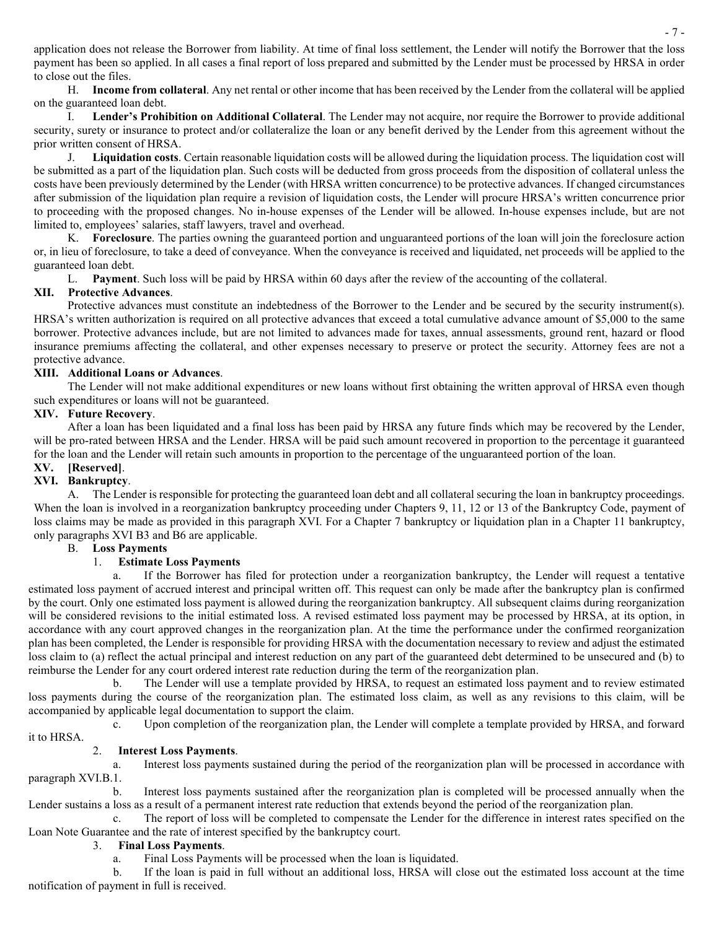application does not release the Borrower from liability. At time of final loss settlement, the Lender will notify the Borrower that the loss payment has been so applied. In all cases a final report of loss prepared and submitted by the Lender must be processed by HRSA in order to close out the files.

H. **Income from collateral**. Any net rental or other income that has been received by the Lender from the collateral will be applied on the guaranteed loan debt.

I. **Lender's Prohibition on Additional Collateral**. The Lender may not acquire, nor require the Borrower to provide additional security, surety or insurance to protect and/or collateralize the loan or any benefit derived by the Lender from this agreement without the prior written consent of HRSA.

J. **Liquidation costs**. Certain reasonable liquidation costs will be allowed during the liquidation process. The liquidation cost will be submitted as a part of the liquidation plan. Such costs will be deducted from gross proceeds from the disposition of collateral unless the costs have been previously determined by the Lender (with HRSA written concurrence) to be protective advances. If changed circumstances after submission of the liquidation plan require a revision of liquidation costs, the Lender will procure HRSA's written concurrence prior to proceeding with the proposed changes. No in-house expenses of the Lender will be allowed. In-house expenses include, but are not limited to, employees' salaries, staff lawyers, travel and overhead.

K. **Foreclosure**. The parties owning the guaranteed portion and unguaranteed portions of the loan will join the foreclosure action or, in lieu of foreclosure, to take a deed of conveyance. When the conveyance is received and liquidated, net proceeds will be applied to the guaranteed loan debt.

L. **Payment**. Such loss will be paid by HRSA within 60 days after the review of the accounting of the collateral.

# **XII. Protective Advances**.

Protective advances must constitute an indebtedness of the Borrower to the Lender and be secured by the security instrument(s). HRSA's written authorization is required on all protective advances that exceed a total cumulative advance amount of \$5,000 to the same borrower. Protective advances include, but are not limited to advances made for taxes, annual assessments, ground rent, hazard or flood insurance premiums affecting the collateral, and other expenses necessary to preserve or protect the security. Attorney fees are not a protective advance.

## **XIII. Additional Loans or Advances**.

The Lender will not make additional expenditures or new loans without first obtaining the written approval of HRSA even though such expenditures or loans will not be guaranteed.

## **XIV. Future Recovery**.

After a loan has been liquidated and a final loss has been paid by HRSA any future finds which may be recovered by the Lender, will be pro-rated between HRSA and the Lender. HRSA will be paid such amount recovered in proportion to the percentage it guaranteed for the loan and the Lender will retain such amounts in proportion to the percentage of the unguaranteed portion of the loan.

#### **XV. [Reserved]**. **XVI. Bankruptcy**.

A. The Lender is responsible for protecting the guaranteed loan debt and all collateral securing the loan in bankruptcy proceedings. When the loan is involved in a reorganization bankruptcy proceeding under Chapters 9, 11, 12 or 13 of the Bankruptcy Code, payment of loss claims may be made as provided in this paragraph XVI. For a Chapter 7 bankruptcy or liquidation plan in a Chapter 11 bankruptcy, only paragraphs XVI B3 and B6 are applicable.

## B. **Loss Payments**

## 1. **Estimate Loss Payments**

a. If the Borrower has filed for protection under a reorganization bankruptcy, the Lender will request a tentative estimated loss payment of accrued interest and principal written off. This request can only be made after the bankruptcy plan is confirmed by the court. Only one estimated loss payment is allowed during the reorganization bankruptcy. All subsequent claims during reorganization will be considered revisions to the initial estimated loss. A revised estimated loss payment may be processed by HRSA, at its option, in accordance with any court approved changes in the reorganization plan. At the time the performance under the confirmed reorganization plan has been completed, the Lender is responsible for providing HRSA with the documentation necessary to review and adjust the estimated loss claim to (a) reflect the actual principal and interest reduction on any part of the guaranteed debt determined to be unsecured and (b) to reimburse the Lender for any court ordered interest rate reduction during the term of the reorganization plan.

b. The Lender will use a template provided by HRSA, to request an estimated loss payment and to review estimated loss payments during the course of the reorganization plan. The estimated loss claim, as well as any revisions to this claim, will be accompanied by applicable legal documentation to support the claim.

c. Upon completion of the reorganization plan, the Lender will complete a template provided by HRSA, and forward it to HRSA.

## 2. **Interest Loss Payments**.

a. Interest loss payments sustained during the period of the reorganization plan will be processed in accordance with paragraph XVI.B.1.

b. Interest loss payments sustained after the reorganization plan is completed will be processed annually when the Lender sustains a loss as a result of a permanent interest rate reduction that extends beyond the period of the reorganization plan.

c. The report of loss will be completed to compensate the Lender for the difference in interest rates specified on the Loan Note Guarantee and the rate of interest specified by the bankruptcy court.

## 3. **Final Loss Payments**.

a. Final Loss Payments will be processed when the loan is liquidated.

b. If the loan is paid in full without an additional loss, HRSA will close out the estimated loss account at the time notification of payment in full is received.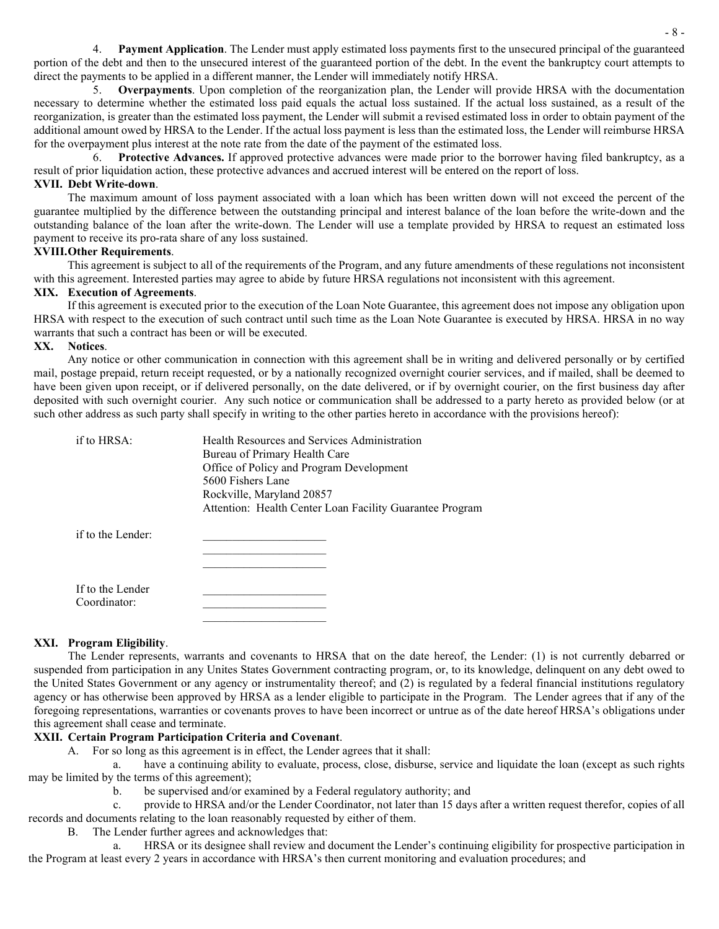4. **Payment Application**. The Lender must apply estimated loss payments first to the unsecured principal of the guaranteed portion of the debt and then to the unsecured interest of the guaranteed portion of the debt. In the event the bankruptcy court attempts to direct the payments to be applied in a different manner, the Lender will immediately notify HRSA.

5. **Overpayments**. Upon completion of the reorganization plan, the Lender will provide HRSA with the documentation necessary to determine whether the estimated loss paid equals the actual loss sustained. If the actual loss sustained, as a result of the reorganization, is greater than the estimated loss payment, the Lender will submit a revised estimated loss in order to obtain payment of the additional amount owed by HRSA to the Lender. If the actual loss payment is less than the estimated loss, the Lender will reimburse HRSA for the overpayment plus interest at the note rate from the date of the payment of the estimated loss.

6. **Protective Advances.** If approved protective advances were made prior to the borrower having filed bankruptcy, as a result of prior liquidation action, these protective advances and accrued interest will be entered on the report of loss.

#### **XVII. Debt Write-down**.

The maximum amount of loss payment associated with a loan which has been written down will not exceed the percent of the guarantee multiplied by the difference between the outstanding principal and interest balance of the loan before the write-down and the outstanding balance of the loan after the write-down. The Lender will use a template provided by HRSA to request an estimated loss payment to receive its pro-rata share of any loss sustained.

# **XVIII.Other Requirements**.

This agreement is subject to all of the requirements of the Program, and any future amendments of these regulations not inconsistent with this agreement. Interested parties may agree to abide by future HRSA regulations not inconsistent with this agreement.

## **XIX. Execution of Agreements**.

If this agreement is executed prior to the execution of the Loan Note Guarantee, this agreement does not impose any obligation upon HRSA with respect to the execution of such contract until such time as the Loan Note Guarantee is executed by HRSA. HRSA in no way warrants that such a contract has been or will be executed.

#### **XX. Notices**.

Any notice or other communication in connection with this agreement shall be in writing and delivered personally or by certified mail, postage prepaid, return receipt requested, or by a nationally recognized overnight courier services, and if mailed, shall be deemed to have been given upon receipt, or if delivered personally, on the date delivered, or if by overnight courier, on the first business day after deposited with such overnight courier. Any such notice or communication shall be addressed to a party hereto as provided below (or at such other address as such party shall specify in writing to the other parties hereto in accordance with the provisions hereof):

| if to HRSA: | Health Resources and Services Administration             |
|-------------|----------------------------------------------------------|
|             | Bureau of Primary Health Care                            |
|             | Office of Policy and Program Development                 |
|             | 5600 Fishers Lane                                        |
|             | Rockville, Maryland 20857                                |
|             | Attention: Health Center Loan Facility Guarantee Program |
|             |                                                          |
|             |                                                          |

 $\overline{\phantom{a}}$  , which is a set of the set of the set of the set of the set of the set of the set of the set of the set of the set of the set of the set of the set of the set of the set of the set of the set of the set of th

 $\frac{1}{2}$  ,  $\frac{1}{2}$  ,  $\frac{1}{2}$  ,  $\frac{1}{2}$  ,  $\frac{1}{2}$  ,  $\frac{1}{2}$  ,  $\frac{1}{2}$  ,  $\frac{1}{2}$  ,  $\frac{1}{2}$ 

if to the Lender:

If to the Lender Coordinator:

## **XXI. Program Eligibility**.

The Lender represents, warrants and covenants to HRSA that on the date hereof, the Lender: (1) is not currently debarred or suspended from participation in any Unites States Government contracting program, or, to its knowledge, delinquent on any debt owed to the United States Government or any agency or instrumentality thereof; and (2) is regulated by a federal financial institutions regulatory agency or has otherwise been approved by HRSA as a lender eligible to participate in the Program. The Lender agrees that if any of the foregoing representations, warranties or covenants proves to have been incorrect or untrue as of the date hereof HRSA's obligations under this agreement shall cease and terminate.

## **XXII. Certain Program Participation Criteria and Covenant**.

A. For so long as this agreement is in effect, the Lender agrees that it shall:

a. have a continuing ability to evaluate, process, close, disburse, service and liquidate the loan (except as such rights may be limited by the terms of this agreement);

b. be supervised and/or examined by a Federal regulatory authority; and

c. provide to HRSA and/or the Lender Coordinator, not later than 15 days after a written request therefor, copies of all records and documents relating to the loan reasonably requested by either of them.

B. The Lender further agrees and acknowledges that:

a. HRSA or its designee shall review and document the Lender's continuing eligibility for prospective participation in the Program at least every 2 years in accordance with HRSA's then current monitoring and evaluation procedures; and